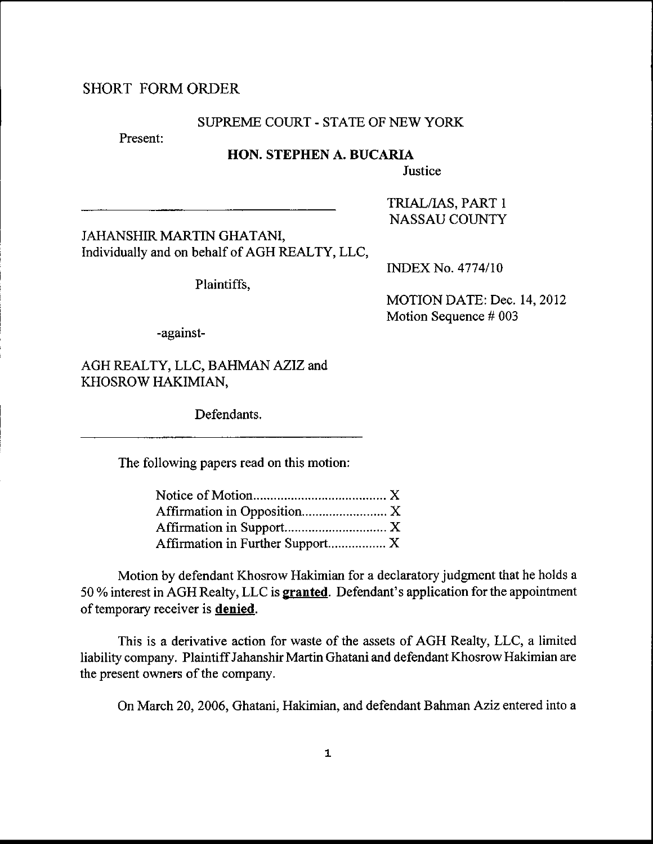# SHORT FORMORDER

#### SUPREME COURT - STATE OF NEW YORK

Present:

## HON. STEPHEN A. BUCARIA

Justice

JAHANSHIR MARTIN GHATANI, Individually and on behalf of AGH REALTY, LLC,

Plaintiffs,

**INDEX No. 4774/10** 

TRIAL/IAS, PART <sup>1</sup> NASSAUCOUNTY

MOTION DATE: Dec. 14,2012 Motion Sequence # 003

-against-

AGH REALTY, LLC, BAHMAN AZIZ and KHOSROW HAKIMIAN,

Defendants.

The following papers read on this motion:

| Affirmation in Further Support X |  |
|----------------------------------|--|

Motion by defendant Khosrow Hakimian for a declaratory judgment that he holds <sup>a</sup> 50 % interest in AGH Realty, LLC is **granted**. Defendant's application for the appointment of temporary receiver is **denied**.

This is a derivative action for waste of the assets of AGH Realty, LLC, a limited liability company. Plaintiff Jahanshir Martin Ghatani and defendant Khosrow Hakimian are the present owners of the company.

On March 20.2006. Ghatani. Hakimian, and defendant B ahman Aziz entered into a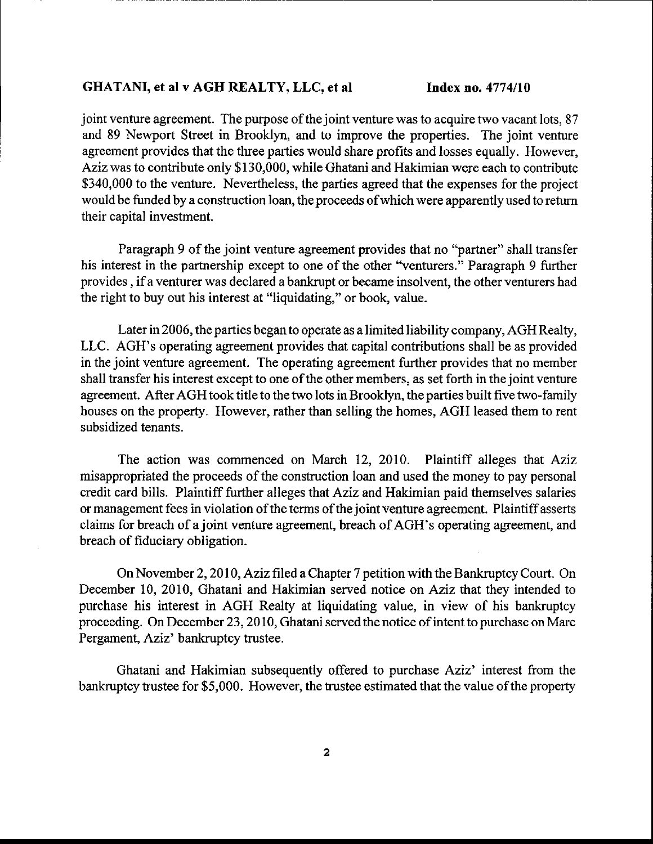#### GHATANI, et al v AGH REALTY, LLC, et al Index no. 4774/10

joint venture agreement. The purpose of the joint venture was to acquire two vacant lots, 87 and 89 Newport Street in Brooklyn, and to improve the properties. The joint venture agreement provides that the three parties would share profits and losses equally. However, Aziz was to contribute only \$ 130,000, while Ghatani and Hakimian were each to contribute \$340,000 to the venture. Nevertheless, the parties agreed that the expenses for the project would be funded by a construction loan, the proceeds ofwhich were apparently used to retum their capital investment.

Paragraph 9 of the joint venture agreement provides that no "partner" shall transfer his interest in the partnership except to one of the other "venturers." Paragraph 9 further provides , ifa venturer was declared a bankrupt or became insolvent, the other venturers had the right to buy out his interest at "liquidating," or book, value.

Later in 2006, the parties began to operate as a limited liability company, AGH Realty, LLC. AGH's operating agreement provides that capital contributions shall be as provided in the joint venture agreement. The operating agreement further provides that no member shall transfer his interest except to one of the other members, as set forth in the joint venture agreement. After AGH took title to the two lots in Brooklyn, the parties built five two-family houses on the property. However, rather than selling the homes, AGH leased them to rent subsidized tenants.

The action was commenced on March 12, 2010. Plaintiff alleges that Aziz misappropriated the proceeds of the construction loan and used the money to pay personal credit card bills. Plaintiff further alleges that Aziz and Hakimian paid themselves salaries or management fees in violation of the terms of the joint venture agreement. Plaintiff asserts claims for breach of a joint venture agreement, breach of AGH's operating agreement, and breach of fiduciary obligation.

On November 2, 2010, Aziz filed a Chapter 7 petition with the Bankruptcy Court. On December 10, 2010, Ghatani and Hakimian served notice on Aziz that they intended to purchase his interest in AGH Realty at liquidating value, in view of his bankuptcy proceeding. On December 23,2010, Ghatani served the notice of intent to purchase on Marc Pergament, Aziz' bankruptcy trustee.

Ghatani and Hakimian subsequently offered to purchase Aziz' interest from the bankruptcy trustee for \$5,000. However, the trustee estimated that the value of the property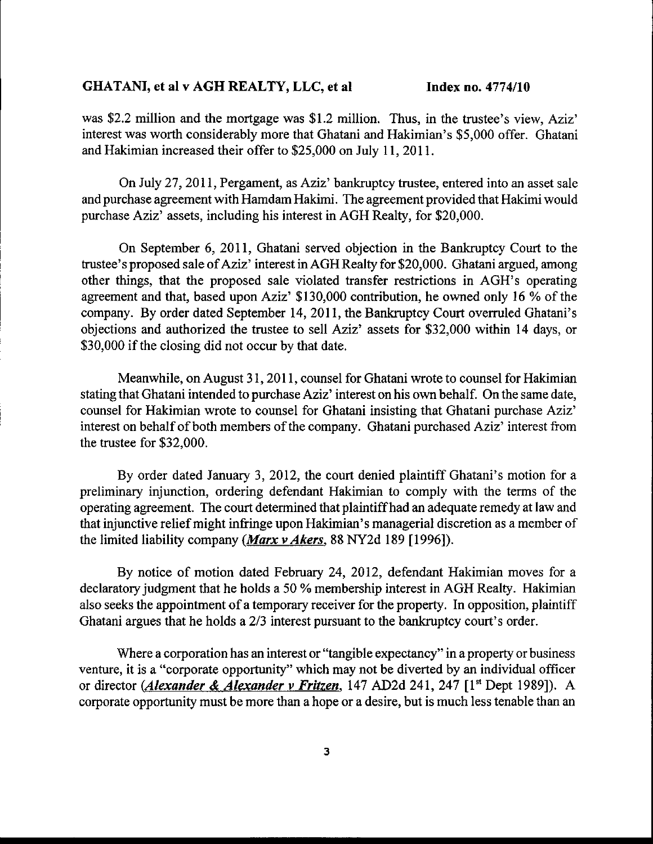## GHATANI, et al v AGH REALTY, LLC, et al Index no. 4774/10

was \$2.2 million and the mortgage was \$1.2 million. Thus, in the trustee's view, Aziz' interest was worth considerably more that Ghatani and Hakimian's \$5,000 offer. Ghatani and Hakimian increased their offer to \$25,000 on July 11, 2011.

On July 27, 2011, Pergament, as Aziz' bankruptcy trustee, entered into an asset sale and purchase agreement with Hamdam Hakimi. The agreement provided that Hakimi would purchase Aziz' assets, including his interest in AGH Realty, for \$20,000.

On September 6,2011, Ghatani served objection in the Bankruptcy Court to the trustee's proposed sale of Aziz' interest in AGH Realty for \$20,000. Ghatani argued, among other things, that the proposed sale violated transfer restrictions in AGH's operating agreement and that, based upon Aziz' \$130,000 contribution, he owned only 16 % of the company. By order dated September 14, 2011, the Bankruptcy Court overruled Ghatani's objections and authorized the trustee to sell Aziz' assets for \$32,000 within 14 days, or \$30,000 if the closing did not occur by that date.

Meanwhile, on August 31, 2011, counsel for Ghatani wrote to counsel for Hakimian stating that Ghatani intended to purchase Aziz' interest on his own behalf. On the same date, counsel for Hakimian wrote to counsel for Ghatani insisting that Ghatani purchase Aziz' interest on behalf of both members of the company. Ghatani purchased Aziz' interest from the trustee for \$32.000.

By order dated January 3,2012, the court denied plaintiff Ghatani's motion for a preliminary injunction, ordering defendant Hakimian to comply with the terms of the operating agreement. The court determined that plaintiffhad an adequate remedy at law and that injunctive relief might infringe upon Hakimian's managerial discretion as a member of the limited liability company (*Marx v Akers*, 88 NY2d 189 [1996]).

By notice of motion dated February 24, 2012, defendant Hakimian moves for a declaratory judgment that he holds a 50 % membership interest in AGH Realty. Hakimian also seeks the appointment of a temporary receiver for the property. In opposition, plaintiff Ghatani argues that he holds a 2/3 interest pursuant to the bankruptcy court's order.

Where a corporation has an interest or "tangible expectancy" in a property or business venture, it is a "corporate opportunity" which may not be diverted by an individual officer or director (*Alexander & Alexander v Fritzen*, 147 AD2d 241, 247 [1<sup>st</sup> Dept 1989]). A corporate opportunity must be more than a hope or a desire, but is much less tenable than an